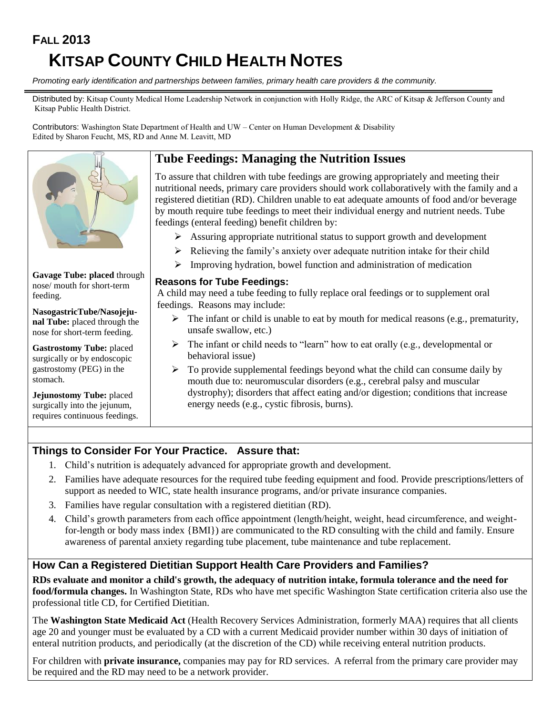# **FALL 2013 KITSAP COUNTY CHILD HEALTH NOTES**

*Promoting early identification and partnerships between families, primary health care providers & the community.*

Distributed by: Kitsap County Medical Home Leadership Network in conjunction with Holly Ridge, the ARC of Kitsap & Jefferson County and Kitsap Public Health District.

Contributors: Washington State Department of Health and UW – Center on Human Development & Disability Edited by Sharon Feucht, MS, RD and Anne M. Leavitt, MD



**Gavage Tube: placed** through nose/ mouth for short-term feeding.

**NasogastricTube/Nasojejunal Tube:** placed through the nose for short-term feeding.

**Gastrostomy Tube:** placed surgically or by endoscopic gastrostomy (PEG) in the stomach.

**Jejunostomy Tube:** placed surgically into the jejunum, requires continuous feedings.

## **Tube Feedings: Managing the Nutrition Issues**

To assure that children with tube feedings are growing appropriately and meeting their nutritional needs, primary care providers should work collaboratively with the family and a registered dietitian (RD). Children unable to eat adequate amounts of food and/or beverage by mouth require tube feedings to meet their individual energy and nutrient needs. Tube feedings (enteral feeding) benefit children by:

- $\triangleright$  Assuring appropriate nutritional status to support growth and development
- $\triangleright$  Relieving the family's anxiety over adequate nutrition intake for their child
- $\triangleright$  Improving hydration, bowel function and administration of medication

#### **Reasons for Tube Feedings:**

A child may need a tube feeding to fully replace oral feedings or to supplement oral feedings. Reasons may include:

- $\triangleright$  The infant or child is unable to eat by mouth for medical reasons (e.g., prematurity, unsafe swallow, etc.)
- $\triangleright$  The infant or child needs to "learn" how to eat orally (e.g., developmental or behavioral issue)
- $\triangleright$  To provide supplemental feedings beyond what the child can consume daily by mouth due to: neuromuscular disorders (e.g., cerebral palsy and muscular dystrophy); disorders that affect eating and/or digestion; conditions that increase energy needs (e.g., cystic fibrosis, burns).

## **Things to Consider For Your Practice. Assure that:**

- 1. Child's nutrition is adequately advanced for appropriate growth and development.
- 2. Families have adequate resources for the required tube feeding equipment and food. Provide prescriptions/letters of support as needed to WIC, state health insurance programs, and/or private insurance companies.
- 3. Families have regular consultation with a registered dietitian (RD).
- 4. Child's growth parameters from each office appointment (length/height, weight, head circumference, and weightfor-length or body mass index {BMI}) are communicated to the RD consulting with the child and family. Ensure awareness of parental anxiety regarding tube placement, tube maintenance and tube replacement.

## **How Can a Registered Dietitian Support Health Care Providers and Families?**

**RDs evaluate and monitor a child's growth, the adequacy of nutrition intake, formula tolerance and the need for food/formula changes.** In Washington State, RDs who have met specific Washington State certification criteria also use the professional title CD, for Certified Dietitian.

The **Washington State Medicaid Act** (Health Recovery Services Administration, formerly MAA) requires that all clients age 20 and younger must be evaluated by a CD with a current Medicaid provider number within 30 days of initiation of enteral nutrition products, and periodically (at the discretion of the CD) while receiving enteral nutrition products.

For children with **private insurance,** companies may pay for RD services. A referral from the primary care provider may be required and the RD may need to be a network provider.